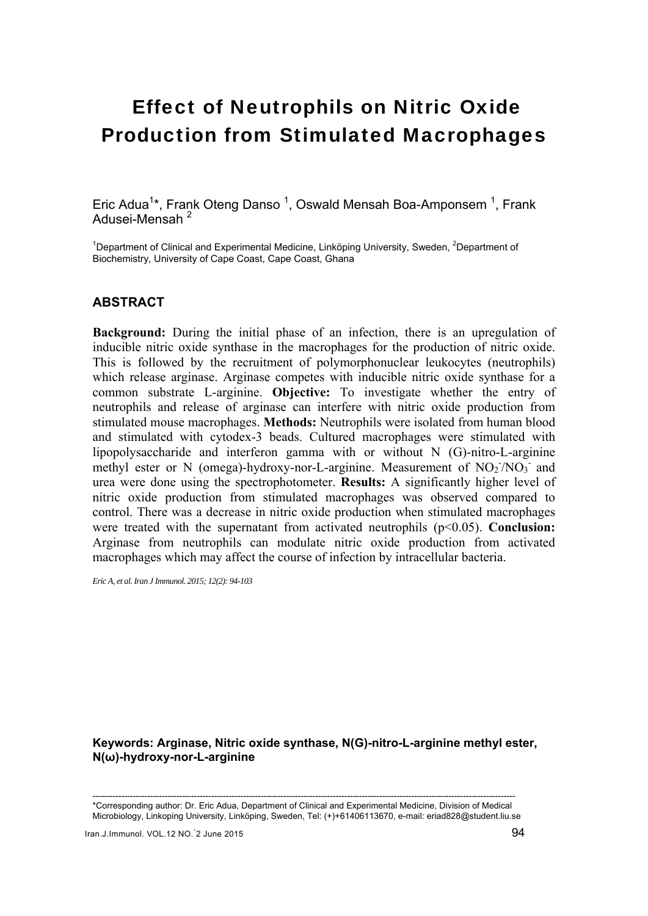# Effect of Neutrophils on Nitric Oxide Production from Stimulated Macrophages

Eric Adua<sup>1\*</sup>, Frank Oteng Danso <sup>1</sup>, Oswald Mensah Boa-Amponsem <sup>1</sup>, Frank Adusei-Mensah<sup>2</sup>

<sup>1</sup>Department of Clinical and Experimental Medicine, Linköping University, Sweden, <sup>2</sup>Department of Biochemistry, University of Cape Coast, Cape Coast, Ghana

# **ABSTRACT**

**Background:** During the initial phase of an infection, there is an upregulation of inducible nitric oxide synthase in the macrophages for the production of nitric oxide. This is followed by the recruitment of polymorphonuclear leukocytes (neutrophils) which release arginase. Arginase competes with inducible nitric oxide synthase for a common substrate L-arginine. **Objective:** To investigate whether the entry of neutrophils and release of arginase can interfere with nitric oxide production from stimulated mouse macrophages. **Methods:** Neutrophils were isolated from human blood and stimulated with cytodex-3 beads. Cultured macrophages were stimulated with lipopolysaccharide and interferon gamma with or without N (G)-nitro-L-arginine methyl ester or N (omega)-hydroxy-nor-L-arginine. Measurement of  $NO<sub>2</sub>/NO<sub>3</sub>$  and urea were done using the spectrophotometer. **Results:** A significantly higher level of nitric oxide production from stimulated macrophages was observed compared to control. There was a decrease in nitric oxide production when stimulated macrophages were treated with the supernatant from activated neutrophils (p<0.05). **Conclusion:** Arginase from neutrophils can modulate nitric oxide production from activated macrophages which may affect the course of infection by intracellular bacteria.

*Eric A, et al. Iran J Immunol. 2015; 12(2): 94-103* 

**Keywords: Arginase, Nitric oxide synthase, N(G)-nitro-L-arginine methyl ester, N(ω)-hydroxy-nor-L-arginine** 

-------------------------------------------------------------------------------------------------------------------------------------------------- \*Corresponding author: Dr. Eric Adua, Department of Clinical and Experimental Medicine, Division of Medical Microbiology, Linkoping University, Linköping, Sweden, Tel: (+)+61406113670, e-mail: eriad828@student.liu.se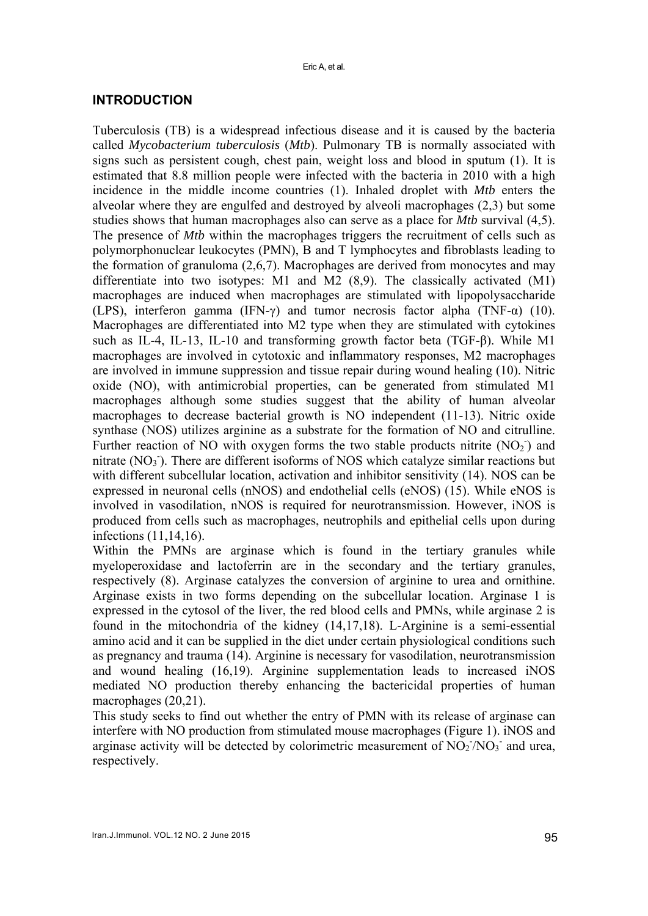# **INTRODUCTION**

Tuberculosis (TB) is a widespread infectious disease and it is caused by the bacteria called *Mycobacterium tuberculosis* (*Mtb*). Pulmonary TB is normally associated with signs such as persistent cough, chest pain, weight loss and blood in sputum (1). It is estimated that 8.8 million people were infected with the bacteria in 2010 with a high incidence in the middle income countries (1). Inhaled droplet with *Mtb* enters the alveolar where they are engulfed and destroyed by alveoli macrophages (2,3) but some studies shows that human macrophages also can serve as a place for *Mtb* survival (4,5). The presence of *Mtb* within the macrophages triggers the recruitment of cells such as polymorphonuclear leukocytes (PMN), B and T lymphocytes and fibroblasts leading to the formation of granuloma (2,6,7). Macrophages are derived from monocytes and may differentiate into two isotypes: M1 and M2 (8,9). The classically activated (M1) macrophages are induced when macrophages are stimulated with lipopolysaccharide (LPS), interferon gamma (IFN-γ) and tumor necrosis factor alpha (TNF- $\alpha$ ) (10). Macrophages are differentiated into M2 type when they are stimulated with cytokines such as IL-4, IL-13, IL-10 and transforming growth factor beta (TGF-β). While M1 macrophages are involved in cytotoxic and inflammatory responses, M2 macrophages are involved in immune suppression and tissue repair during wound healing (10). Nitric oxide (NO), with antimicrobial properties, can be generated from stimulated M1 macrophages although some studies suggest that the ability of human alveolar macrophages to decrease bacterial growth is NO independent (11-13). Nitric oxide synthase (NOS) utilizes arginine as a substrate for the formation of NO and citrulline. Further reaction of NO with oxygen forms the two stable products nitrite  $(NO<sub>2</sub>)$  and nitrate (NO<sub>3</sub>). There are different isoforms of NOS which catalyze similar reactions but with different subcellular location, activation and inhibitor sensitivity (14). NOS can be expressed in neuronal cells (nNOS) and endothelial cells (eNOS) (15). While eNOS is involved in vasodilation, nNOS is required for neurotransmission. However, iNOS is produced from cells such as macrophages, neutrophils and epithelial cells upon during infections (11,14,16).

Within the PMNs are arginase which is found in the tertiary granules while myeloperoxidase and lactoferrin are in the secondary and the tertiary granules, respectively (8). Arginase catalyzes the conversion of arginine to urea and ornithine. Arginase exists in two forms depending on the subcellular location. Arginase 1 is expressed in the cytosol of the liver, the red blood cells and PMNs, while arginase 2 is found in the mitochondria of the kidney (14,17,18). L-Arginine is a semi-essential amino acid and it can be supplied in the diet under certain physiological conditions such as pregnancy and trauma (14). Arginine is necessary for vasodilation, neurotransmission and wound healing (16,19). Arginine supplementation leads to increased iNOS mediated NO production thereby enhancing the bactericidal properties of human macrophages (20,21).

This study seeks to find out whether the entry of PMN with its release of arginase can interfere with NO production from stimulated mouse macrophages (Figure 1). iNOS and arginase activity will be detected by colorimetric measurement of  $NO<sub>2</sub>/NO<sub>3</sub>$  and urea, respectively.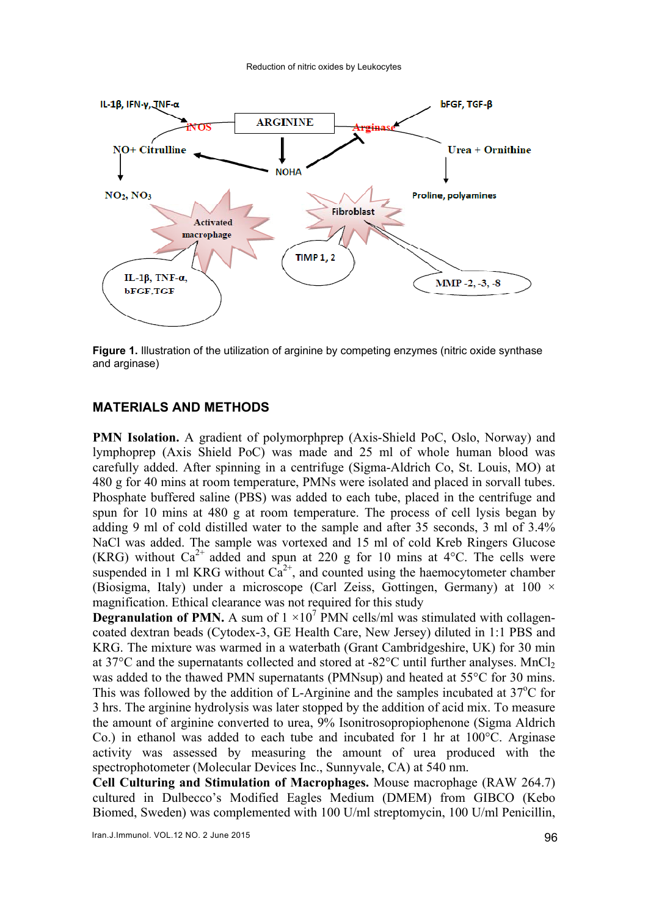

**Figure 1.** Illustration of the utilization of arginine by competing enzymes (nitric oxide synthase and arginase)

#### **MATERIALS AND METHODS**

**PMN Isolation.** A gradient of polymorphprep (Axis-Shield PoC, Oslo, Norway) and lymphoprep (Axis Shield PoC) was made and 25 ml of whole human blood was carefully added. After spinning in a centrifuge (Sigma-Aldrich Co, St. Louis, MO) at 480 g for 40 mins at room temperature, PMNs were isolated and placed in sorvall tubes. Phosphate buffered saline (PBS) was added to each tube, placed in the centrifuge and spun for 10 mins at 480 g at room temperature. The process of cell lysis began by adding 9 ml of cold distilled water to the sample and after 35 seconds, 3 ml of 3.4% NaCl was added. The sample was vortexed and 15 ml of cold Kreb Ringers Glucose (KRG) without  $Ca^{2+}$  added and spun at 220 g for 10 mins at 4°C. The cells were suspended in 1 ml KRG without  $Ca^{2+}$ , and counted using the haemocytometer chamber (Biosigma, Italy) under a microscope (Carl Zeiss, Gottingen, Germany) at 100 × magnification. Ethical clearance was not required for this study

**Degranulation of PMN.** A sum of  $1 \times 10^7$  PMN cells/ml was stimulated with collagencoated dextran beads (Cytodex-3, GE Health Care, New Jersey) diluted in 1:1 PBS and KRG. The mixture was warmed in a waterbath (Grant Cambridgeshire, UK) for 30 min at 37 $^{\circ}$ C and the supernatants collected and stored at -82 $^{\circ}$ C until further analyses. MnCl<sub>2</sub> was added to the thawed PMN supernatants (PMNsup) and heated at 55°C for 30 mins. This was followed by the addition of L-Arginine and the samples incubated at  $37^{\circ}$ C for 3 hrs. The arginine hydrolysis was later stopped by the addition of acid mix. To measure the amount of arginine converted to urea, 9% Isonitrosopropiophenone (Sigma Aldrich Co.) in ethanol was added to each tube and incubated for 1 hr at 100°C. Arginase activity was assessed by measuring the amount of urea produced with the spectrophotometer (Molecular Devices Inc., Sunnyvale, CA) at 540 nm.

**Cell Culturing and Stimulation of Macrophages.** Mouse macrophage (RAW 264.7) cultured in Dulbecco's Modified Eagles Medium (DMEM) from GIBCO (Kebo Biomed, Sweden) was complemented with 100 U/ml streptomycin, 100 U/ml Penicillin,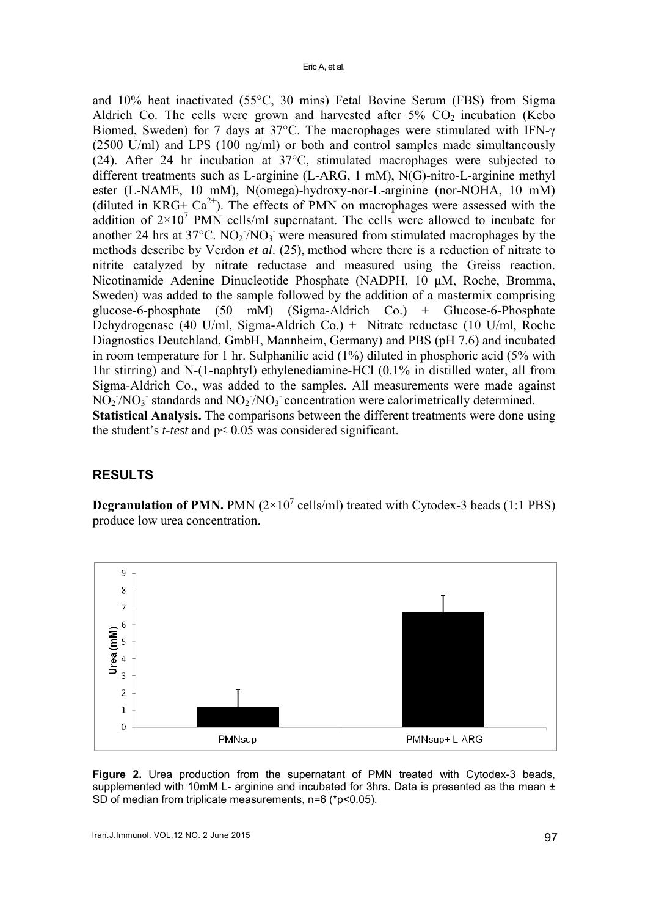and 10% heat inactivated (55°C, 30 mins) Fetal Bovine Serum (FBS) from Sigma Aldrich Co. The cells were grown and harvested after  $5\%$  CO<sub>2</sub> incubation (Kebo Biomed, Sweden) for 7 days at 37°C. The macrophages were stimulated with IFN-γ (2500 U/ml) and LPS (100 ng/ml) or both and control samples made simultaneously (24). After 24 hr incubation at 37°C, stimulated macrophages were subjected to different treatments such as L-arginine (L-ARG, 1 mM), N(G)-nitro-L-arginine methyl ester (L-NAME, 10 mM), N(omega)-hydroxy-nor-L-arginine (nor-NOHA, 10 mM) (diluted in KRG+  $Ca^{2+}$ ). The effects of PMN on macrophages were assessed with the addition of  $2\times10^7$  PMN cells/ml supernatant. The cells were allowed to incubate for another 24 hrs at  $37^{\circ}$ C. NO<sub>2</sub><sup>-</sup>/NO<sub>3</sub><sup>-</sup> were measured from stimulated macrophages by the methods describe by Verdon *et al*. (25), method where there is a reduction of nitrate to nitrite catalyzed by nitrate reductase and measured using the Greiss reaction. Nicotinamide Adenine Dinucleotide Phosphate (NADPH, 10 μM, Roche, Bromma, Sweden) was added to the sample followed by the addition of a mastermix comprising glucose-6-phosphate (50 mM) (Sigma-Aldrich Co.) + Glucose-6-Phosphate Dehydrogenase (40 U/ml, Sigma-Aldrich Co.) + Nitrate reductase (10 U/ml, Roche Diagnostics Deutchland, GmbH, Mannheim, Germany) and PBS (pH 7.6) and incubated in room temperature for 1 hr. Sulphanilic acid (1%) diluted in phosphoric acid (5% with 1hr stirring) and N-(1-naphtyl) ethylenediamine-HCl (0.1% in distilled water, all from Sigma-Aldrich Co., was added to the samples. All measurements were made against  $NO_2/NO_3$  standards and  $NO_2/NO_3$  concentration were calorimetrically determined. **Statistical Analysis.** The comparisons between the different treatments were done using the student's *t-test* and p< 0.05 was considered significant.

# **RESULTS**

**Degranulation of PMN.** PMN  $(2 \times 10^7 \text{ cells/ml})$  treated with Cytodex-3 beads  $(1:1 \text{ PBS})$ produce low urea concentration.



**Figure 2.** Urea production from the supernatant of PMN treated with Cytodex-3 beads, supplemented with 10mM L- arginine and incubated for 3hrs. Data is presented as the mean  $\pm$ SD of median from triplicate measurements, n=6 (\*p<0.05).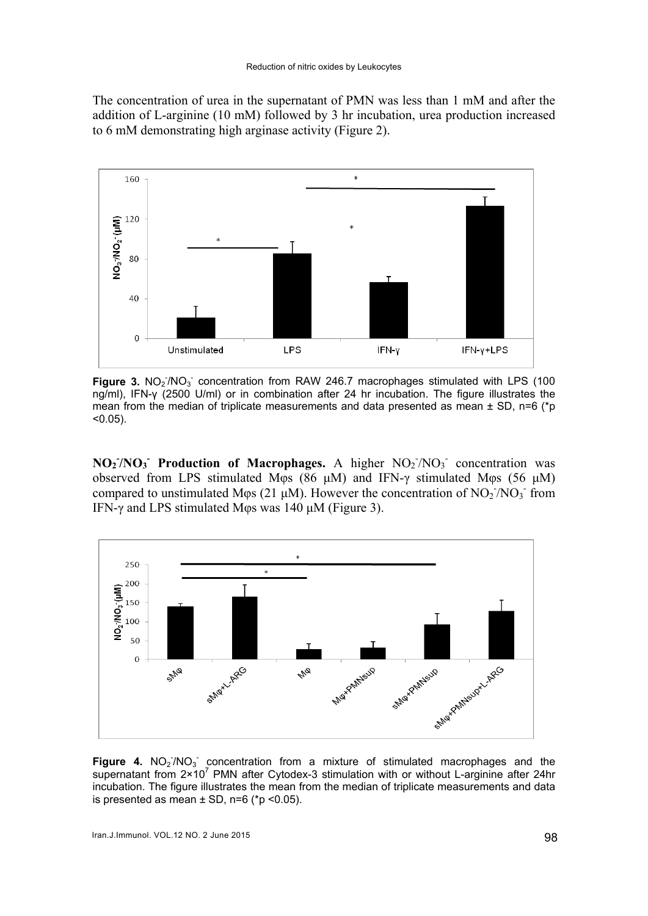The concentration of urea in the supernatant of PMN was less than 1 mM and after the addition of L-arginine (10 mM) followed by 3 hr incubation, urea production increased to 6 mM demonstrating high arginase activity (Figure 2).



Figure 3. NO<sub>2</sub><sup>/</sup>NO<sub>3</sub> concentration from RAW 246.7 macrophages stimulated with LPS (100 ng/ml), IFN-γ (2500 U/ml) or in combination after 24 hr incubation. The figure illustrates the mean from the median of triplicate measurements and data presented as mean  $\pm$  SD, n=6 (\*p  $< 0.05$ ).

 $NO<sub>2</sub>/NO<sub>3</sub>$  **Production of Macrophages.** A higher  $NO<sub>2</sub>/NO<sub>3</sub>$  concentration was observed from LPS stimulated Mφs (86 μM) and IFN-γ stimulated Mφs (56 μM) compared to unstimulated Mos (21  $\mu$ M). However the concentration of NO<sub>2</sub>/NO<sub>3</sub> from IFN-γ and LPS stimulated Mφs was 140 μM (Figure 3).



Figure 4.  $NO<sub>2</sub>/NO<sub>3</sub>$  concentration from a mixture of stimulated macrophages and the supernatant from  $2 \times 10^7$  PMN after Cytodex-3 stimulation with or without L-arginine after 24hr incubation. The figure illustrates the mean from the median of triplicate measurements and data is presented as mean  $\pm$  SD, n=6 (\*p <0.05).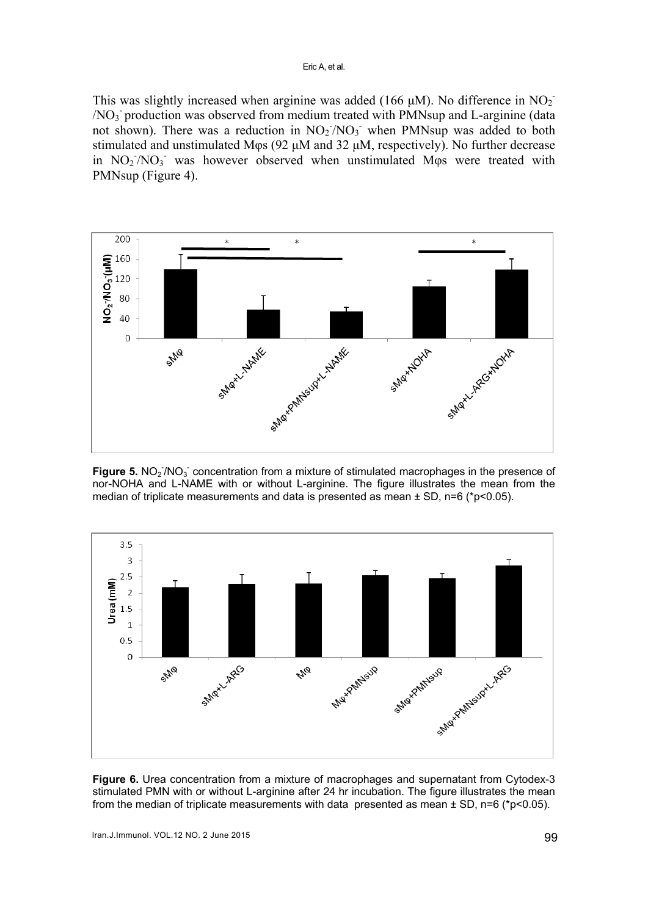This was slightly increased when arginine was added (166  $\mu$ M). No difference in NO<sub>2</sub> /NO3 - production was observed from medium treated with PMNsup and L-arginine (data not shown). There was a reduction in  $NO<sub>2</sub>/NO<sub>3</sub>$  when PMNsup was added to both stimulated and unstimulated Mφs (92 μM and 32 μΜ, respectively). No further decrease in NO<sub>2</sub>/NO<sub>3</sub> was however observed when unstimulated Mo<sub>ps</sub> were treated with PMNsup (Figure 4).



Figure 5. NO<sub>2</sub><sup>7</sup>NO<sub>3</sub> concentration from a mixture of stimulated macrophages in the presence of nor-NOHA and L-NAME with or without L-arginine. The figure illustrates the mean from the median of triplicate measurements and data is presented as mean  $\pm$  SD, n=6 (\*p<0.05).



**Figure 6.** Urea concentration from a mixture of macrophages and supernatant from Cytodex-3 stimulated PMN with or without L-arginine after 24 hr incubation. The figure illustrates the mean from the median of triplicate measurements with data presented as mean  $\pm$  SD, n=6 (\*p<0.05).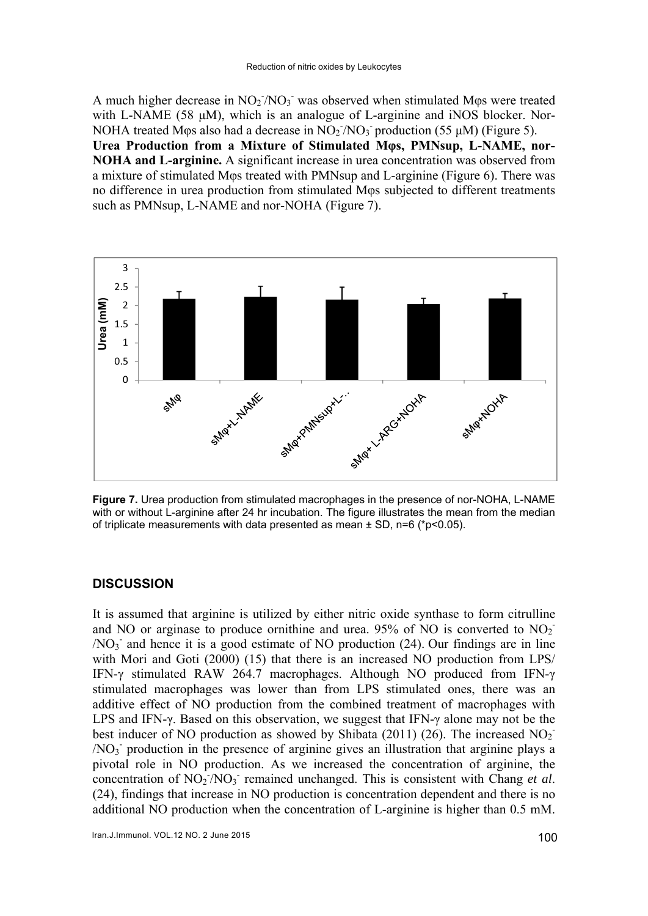A much higher decrease in  $NO<sub>2</sub>/NO<sub>3</sub>$  was observed when stimulated Mos were treated with L-NAME (58 μΜ), which is an analogue of L-arginine and iNOS blocker. Nor-NOHA treated Mos also had a decrease in  $NO<sub>2</sub>/NO<sub>3</sub>$  production (55 µM) (Figure 5). **Urea Production from a Mixture of Stimulated Mφs, PMNsup, L-NAME, nor-NOHA and L-arginine.** A significant increase in urea concentration was observed from a mixture of stimulated Mφs treated with PMNsup and L-arginine (Figure 6). There was no difference in urea production from stimulated Mφs subjected to different treatments such as PMNsup, L-NAME and nor-NOHA (Figure 7).



**Figure 7.** Urea production from stimulated macrophages in the presence of nor-NOHA, L-NAME with or without L-arginine after 24 hr incubation. The figure illustrates the mean from the median of triplicate measurements with data presented as mean ± SD, n=6 (\*p<0.05).

# **DISCUSSION**

It is assumed that arginine is utilized by either nitric oxide synthase to form citrulline and NO or arginase to produce ornithine and urea. 95% of NO is converted to  $NO<sub>2</sub>$  $/NO<sub>3</sub>$  and hence it is a good estimate of NO production (24). Our findings are in line with Mori and Goti (2000) (15) that there is an increased NO production from LPS/ IFN-γ stimulated RAW 264.7 macrophages. Although NO produced from IFN-γ stimulated macrophages was lower than from LPS stimulated ones, there was an additive effect of NO production from the combined treatment of macrophages with LPS and IFN-γ. Based on this observation, we suggest that IFN-γ alone may not be the best inducer of NO production as showed by Shibata (2011) (26). The increased  $NO<sub>2</sub>$ /NO3 - production in the presence of arginine gives an illustration that arginine plays a pivotal role in NO production. As we increased the concentration of arginine, the concentration of  $NO<sub>2</sub>/NO<sub>3</sub>$  remained unchanged. This is consistent with Chang *et al.* (24), findings that increase in NO production is concentration dependent and there is no additional NO production when the concentration of L-arginine is higher than 0.5 mM.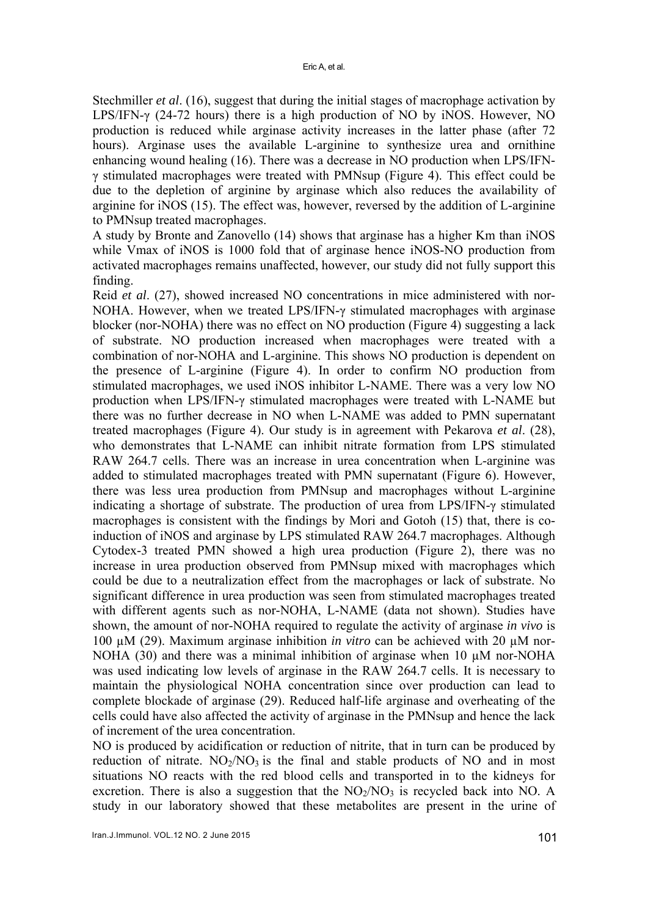Stechmiller *et al*. (16), suggest that during the initial stages of macrophage activation by LPS/IFN-γ (24-72 hours) there is a high production of NO by iNOS. However, NO production is reduced while arginase activity increases in the latter phase (after 72 hours). Arginase uses the available L-arginine to synthesize urea and ornithine enhancing wound healing (16). There was a decrease in NO production when LPS/IFNγ stimulated macrophages were treated with PMNsup (Figure 4). This effect could be due to the depletion of arginine by arginase which also reduces the availability of arginine for iNOS (15). The effect was, however, reversed by the addition of L-arginine to PMNsup treated macrophages.

A study by Bronte and Zanovello (14) shows that arginase has a higher Km than iNOS while Vmax of iNOS is 1000 fold that of arginase hence iNOS-NO production from activated macrophages remains unaffected, however, our study did not fully support this finding.

Reid *et al*. (27), showed increased NO concentrations in mice administered with nor-NOHA. However, when we treated LPS/IFN-γ stimulated macrophages with arginase blocker (nor-NOHA) there was no effect on NO production (Figure 4) suggesting a lack of substrate. NO production increased when macrophages were treated with a combination of nor-NOHA and L-arginine. This shows NO production is dependent on the presence of L-arginine (Figure 4). In order to confirm NO production from stimulated macrophages, we used iNOS inhibitor L-NAME. There was a very low NO production when LPS/IFN-γ stimulated macrophages were treated with L-NAME but there was no further decrease in NO when L-NAME was added to PMN supernatant treated macrophages (Figure 4). Our study is in agreement with Pekarova *et al*. (28), who demonstrates that L-NAME can inhibit nitrate formation from LPS stimulated RAW 264.7 cells. There was an increase in urea concentration when L-arginine was added to stimulated macrophages treated with PMN supernatant (Figure 6). However, there was less urea production from PMNsup and macrophages without L-arginine indicating a shortage of substrate. The production of urea from LPS/IFN-γ stimulated macrophages is consistent with the findings by Mori and Gotoh (15) that, there is coinduction of iNOS and arginase by LPS stimulated RAW 264.7 macrophages. Although Cytodex-3 treated PMN showed a high urea production (Figure 2), there was no increase in urea production observed from PMNsup mixed with macrophages which could be due to a neutralization effect from the macrophages or lack of substrate. No significant difference in urea production was seen from stimulated macrophages treated with different agents such as nor-NOHA, L-NAME (data not shown). Studies have shown, the amount of nor-NOHA required to regulate the activity of arginase *in vivo* is 100 µM (29). Maximum arginase inhibition *in vitro* can be achieved with 20 µM nor-NOHA (30) and there was a minimal inhibition of arginase when 10 µM nor-NOHA was used indicating low levels of arginase in the RAW 264.7 cells. It is necessary to maintain the physiological NOHA concentration since over production can lead to complete blockade of arginase (29). Reduced half-life arginase and overheating of the cells could have also affected the activity of arginase in the PMNsup and hence the lack of increment of the urea concentration.

NO is produced by acidification or reduction of nitrite, that in turn can be produced by reduction of nitrate.  $NO<sub>2</sub>/NO<sub>3</sub>$  is the final and stable products of NO and in most situations NO reacts with the red blood cells and transported in to the kidneys for excretion. There is also a suggestion that the  $NO<sub>2</sub>/NO<sub>3</sub>$  is recycled back into NO. A study in our laboratory showed that these metabolites are present in the urine of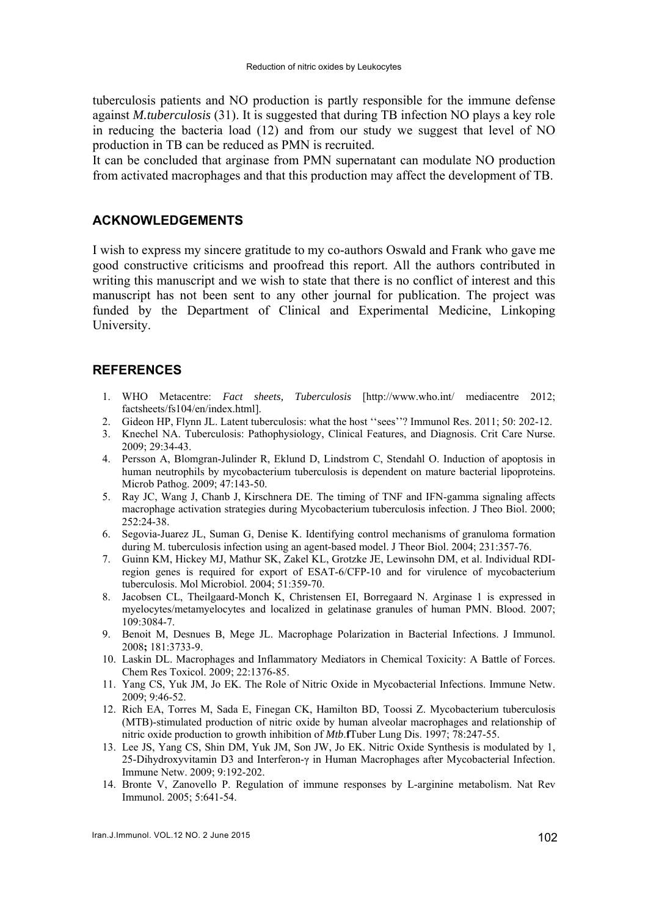tuberculosis patients and NO production is partly responsible for the immune defense against *M.tuberculosis* (31). It is suggested that during TB infection NO plays a key role in reducing the bacteria load (12) and from our study we suggest that level of NO production in TB can be reduced as PMN is recruited.

It can be concluded that arginase from PMN supernatant can modulate NO production from activated macrophages and that this production may affect the development of TB.

# **ACKNOWLEDGEMENTS**

I wish to express my sincere gratitude to my co-authors Oswald and Frank who gave me good constructive criticisms and proofread this report. All the authors contributed in writing this manuscript and we wish to state that there is no conflict of interest and this manuscript has not been sent to any other journal for publication. The project was funded by the Department of Clinical and Experimental Medicine, Linkoping University.

# **REFERENCES**

- 1. WHO Metacentre: *Fact sheets, Tuberculosis* [http://www.who.int/ mediacentre 2012; factsheets/fs104/en/index.html].
- 2. Gideon HP, Flynn JL. Latent tuberculosis: what the host ''sees''? Immunol Res. 2011; 50: 202-12.
- 3. Knechel NA. Tuberculosis: Pathophysiology, Clinical Features, and Diagnosis. Crit Care Nurse. 2009; 29:34-43.
- 4. Persson A, Blomgran-Julinder R, Eklund D, Lindstrom C, Stendahl O. Induction of apoptosis in human neutrophils by mycobacterium tuberculosis is dependent on mature bacterial lipoproteins. Microb Pathog. 2009; 47:143-50.
- 5. Ray JC, Wang J, Chanb J, Kirschnera DE. The timing of TNF and IFN-gamma signaling affects macrophage activation strategies during Mycobacterium tuberculosis infection. J Theo Biol. 2000; 252:24-38.
- 6. Segovia-Juarez JL, Suman G, Denise K. Identifying control mechanisms of granuloma formation during M. tuberculosis infection using an agent-based model. J Theor Biol. 2004; 231:357-76.
- 7. Guinn KM, Hickey MJ, Mathur SK, Zakel KL, Grotzke JE, Lewinsohn DM, et al. Individual RDIregion genes is required for export of ESAT-6/CFP-10 and for virulence of mycobacterium tuberculosis. Mol Microbiol. 2004; 51:359-70.
- 8. Jacobsen CL, Theilgaard-Monch K, Christensen EI, Borregaard N. Arginase 1 is expressed in myelocytes/metamyelocytes and localized in gelatinase granules of human PMN. Blood. 2007; 109:3084-7.
- 9. Benoit M, Desnues B, Mege JL. Macrophage Polarization in Bacterial Infections. J Immunol. 2008**;** 181:3733-9.
- 10. Laskin DL. Macrophages and Inflammatory Mediators in Chemical Toxicity: A Battle of Forces. Chem Res Toxicol. 2009; 22:1376-85.
- 11. Yang CS, Yuk JM, Jo EK. The Role of Nitric Oxide in Mycobacterial Infections. Immune Netw. 2009; 9:46-52.
- 12. Rich EA, Torres M, Sada E, Finegan CK, Hamilton BD, Toossi Z. Mycobacterium tuberculosis (MTB)-stimulated production of nitric oxide by human alveolar macrophages and relationship of nitric oxide production to growth inhibition of *Mtb*.**f**Tuber Lung Dis. 1997; 78:247-55.
- 13. Lee JS, Yang CS, Shin DM, Yuk JM, Son JW, Jo EK. Nitric Oxide Synthesis is modulated by 1, 25-Dihydroxyvitamin D3 and Interferon-γ in Human Macrophages after Mycobacterial Infection. Immune Netw. 2009; 9:192-202.
- 14. Bronte V, Zanovello P. Regulation of immune responses by L-arginine metabolism. Nat Rev Immunol. 2005; 5:641-54.